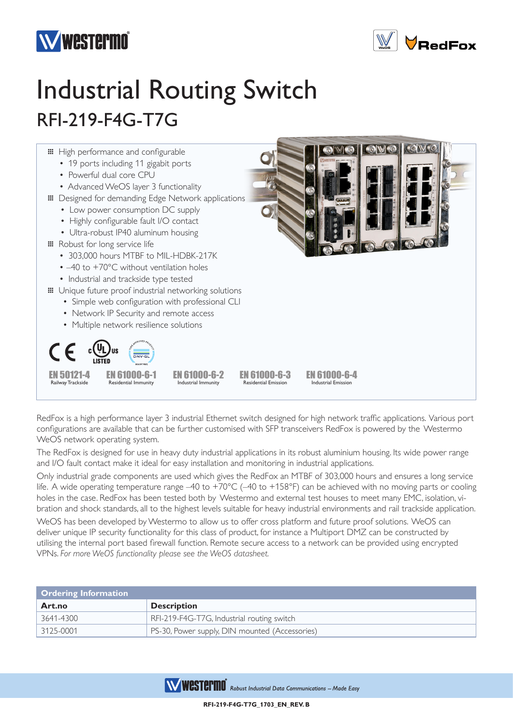



# Industrial Routing Switch RFI-219-F4G-T7G



RedFox is a high performance layer 3 industrial Ethernet switch designed for high network traffic applications. Various port configurations are available that can be further customised with SFP transceivers RedFox is powered by the Westermo WeOS network operating system.

The RedFox is designed for use in heavy duty industrial applications in its robust aluminium housing. Its wide power range and I/O fault contact make it ideal for easy installation and monitoring in industrial applications.

Only industrial grade components are used which gives the RedFox an MTBF of 303,000 hours and ensures a long service life. A wide operating temperature range –40 to +70°C (–40 to +158°F) can be achieved with no moving parts or cooling holes in the case. RedFox has been tested both by Westermo and external test houses to meet many EMC, isolation, vibration and shock standards, all to the highest levels suitable for heavy industrial environments and rail trackside application.

WeOS has been developed by Westermo to allow us to offer cross platform and future proof solutions. WeOS can deliver unique IP security functionality for this class of product, for instance a Multiport DMZ can be constructed by utilising the internal port based firewall function. Remote secure access to a network can be provided using encrypted VPNs. *For more WeOS functionality please see the WeOS datasheet.*

| Ordering Information |                                                |  |
|----------------------|------------------------------------------------|--|
| Art.no               | <b>Description</b>                             |  |
| 3641-4300            | RFI-219-F4G-T7G, Industrial routing switch     |  |
| 3125-0001            | PS-30, Power supply, DIN mounted (Accessories) |  |